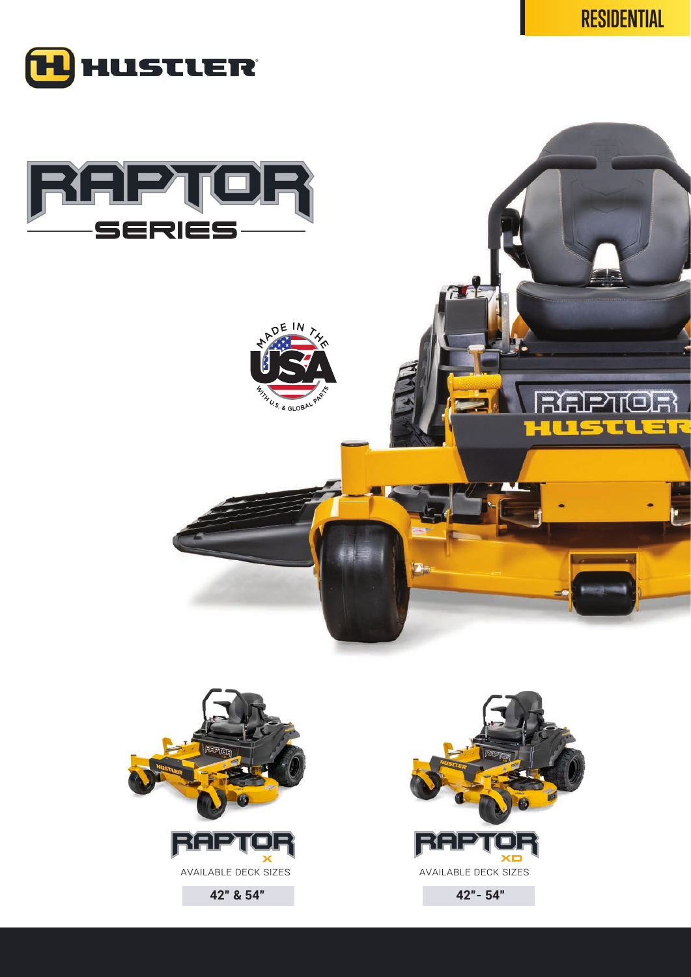51 L LI













 $\pi$ 

**42" & 54" 42"- 54"**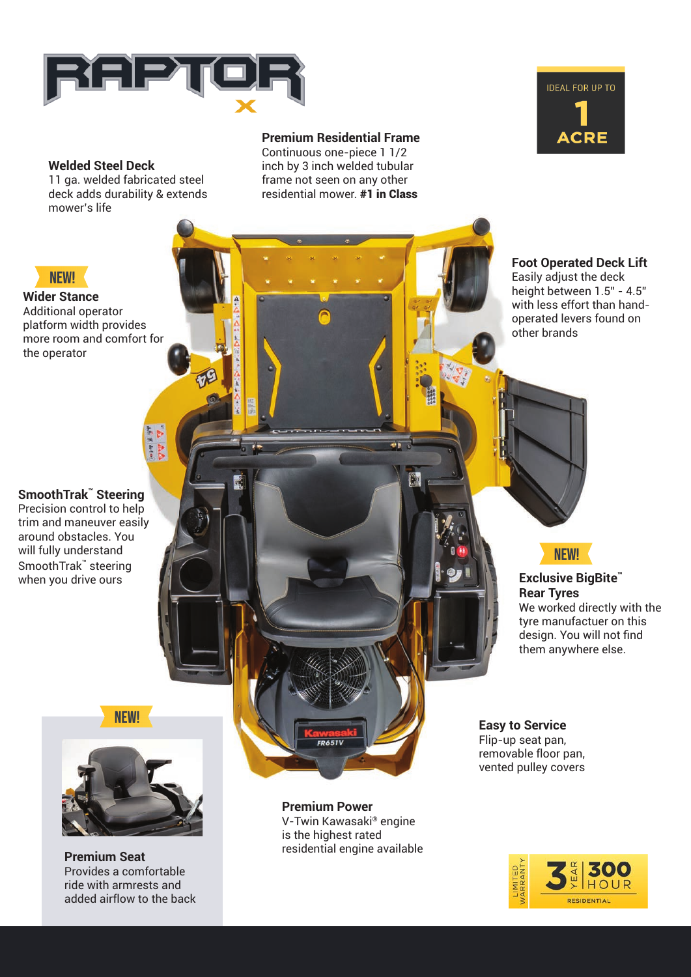

## **Welded Steel Deck**

11 ga. welded fabricated steel deck adds durability & extends mower's life

### **Premium Residential Frame**

Continuous one-piece 1 1/2 inch by 3 inch welded tubular frame not seen on any other residential mower. #1 in Class



**Foot Operated Deck Lift** Easily adjust the deck height between 1.5" - 4.5" with less effort than handoperated levers found on other brands

## **SmoothTrak™ Steering**

**Wider Stance** Additional operator platform width provides more room and comfort for

**NFWI** 

the operator

Precision control to help trim and maneuver easily around obstacles. You will fully understand SmoothTrak™ steering when you drive ours

**NEW!** 



**Premium Seat** Provides a comfortable ride with armrests and added airflow to the back

**Premium Power** V-Twin Kawasaki® engine is the highest rated residential engine available **NEW!** 

**Exclusive BigBite™ Rear Tyres** We worked directly with the tyre manufactuer on this design. You will not find them anywhere else.

**Easy to Service** Flip-up seat pan, removable floor pan, vented pulley covers

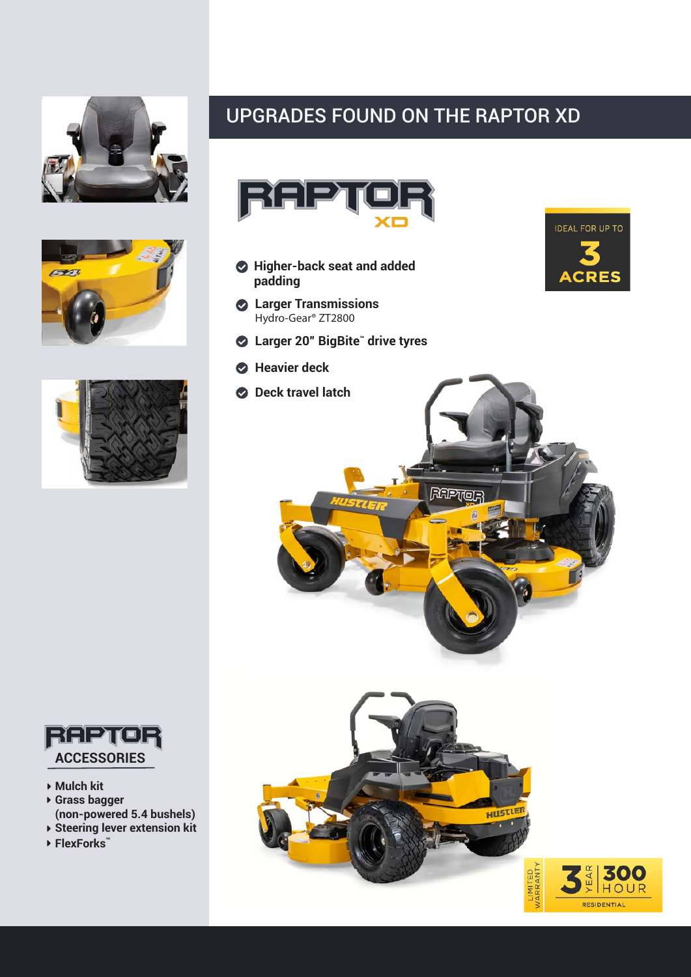







- **Mulch kit**
- **Grass bagger (non-powered 5.4 bushels)**
- **Steering lever extension kit**
- **FlexForks™**

# UPGRADES FOUND ON THE RAPTOR XD



- **Higher-back seat and added padding**
- **Larger Transmissions** Hydro-Gear® ZT2800
- **Larger 20" BigBite™ drive tyres**
- **Heavier deck**
- **Deck travel latch**